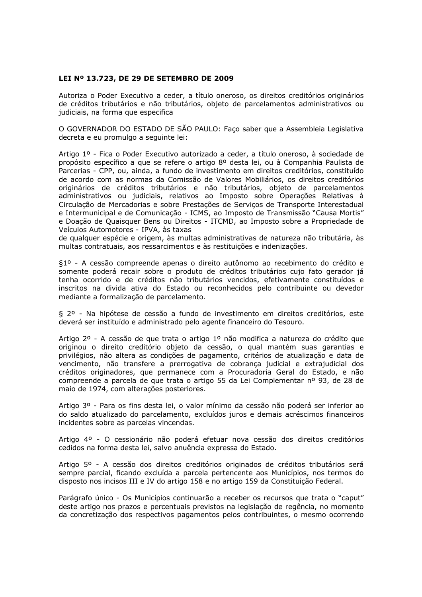## LEI Nº 13.723, DE 29 DE SETEMBRO DE 2009

Autoriza o Poder Executivo a ceder, a título oneroso, os direitos creditórios originários de créditos tributários e não tributários, objeto de parcelamentos administrativos ou judiciais, na forma que especifica

O GOVERNADOR DO ESTADO DE SÃO PAULO: Faco saber que a Assembleia Legislativa decreta e eu promulgo a seguinte lei:

Artigo 1º - Fica o Poder Executivo autorizado a ceder, a título oneroso, à sociedade de propósito específico a que se refere o artigo 8º desta lei, ou à Companhia Paulista de Parcerias - CPP, ou, ainda, a fundo de investimento em direitos creditórios, constituído de acordo com as normas da Comissão de Valores Mobiliários, os direitos creditórios originários de créditos tributários e não tributários, objeto de parcelamentos administrativos ou judiciais, relativos ao Imposto sobre Operações Relativas à Circulação de Mercadorias e sobre Prestações de Serviços de Transporte Interestadual e Intermunicipal e de Comunicação - ICMS, ao Imposto de Transmissão "Causa Mortis" e Doação de Quaisquer Bens ou Direitos - ITCMD, ao Imposto sobre a Propriedade de Veículos Automotores - IPVA, às taxas

de qualquer espécie e origem, às multas administrativas de natureza não tributária, às multas contratuais, aos ressarcimentos e às restituições e indenizações.

§1º - A cessão compreende apenas o direito autônomo ao recebimento do crédito e somente poderá recair sobre o produto de créditos tributários cujo fato gerador já tenha ocorrido e de créditos não tributários vencidos, efetivamente constituídos e inscritos na divida ativa do Estado ou reconhecidos pelo contribuinte ou devedor mediante a formalização de parcelamento.

§ 2º - Na hipótese de cessão a fundo de investimento em direitos creditórios, este deverá ser instituído e administrado pelo agente financeiro do Tesouro.

Artigo 2º - A cessão de que trata o artigo 1º não modifica a natureza do crédito que originou o direito creditório objeto da cessão, o qual mantém suas garantias e privilégios, não altera as condições de pagamento, critérios de atualização e data de vencimento, não transfere a prerrogativa de cobranca judicial e extrajudicial dos créditos originadores, que permanece com a Procuradoria Geral do Estado, e não compreende a parcela de que trata o artigo 55 da Lei Complementar nº 93, de 28 de maio de 1974, com alterações posteriores.

Artigo 3º - Para os fins desta lei, o valor mínimo da cessão não poderá ser inferior ao do saldo atualizado do parcelamento, excluídos juros e demais acréscimos financeiros incidentes sobre as parcelas vincendas.

Artigo 4º - O cessionário não poderá efetuar nova cessão dos direitos creditórios cedidos na forma desta lei, salvo anuência expressa do Estado.

Artigo 5º - A cessão dos direitos creditórios originados de créditos tributários será sempre parcial, ficando excluída a parcela pertencente aos Municípios, nos termos do disposto nos incisos III e IV do artigo 158 e no artigo 159 da Constituição Federal.

Parágrafo único - Os Municípios continuarão a receber os recursos que trata o "caput" deste artigo nos prazos e percentuais previstos na legislação de regência, no momento da concretização dos respectivos pagamentos pelos contribuintes, o mesmo ocorrendo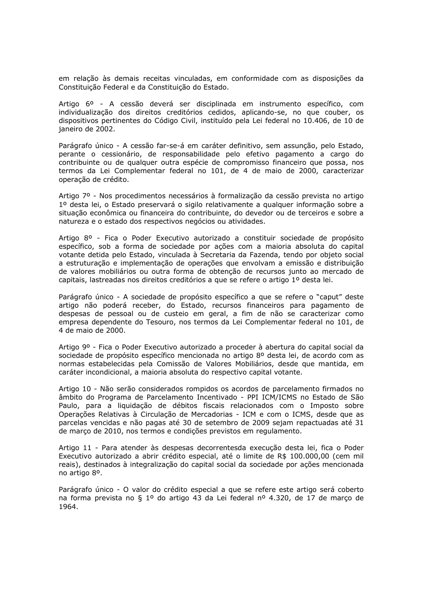em relação às demais receitas vinculadas, em conformidade com as disposições da Constituição Federal e da Constituição do Estado.

Artigo 6º - A cessão deverá ser disciplinada em instrumento específico, com individualização dos direitos creditórios cedidos, aplicando-se, no que couber, os dispositivos pertinentes do Código Civil, instituído pela Lei federal no 10.406, de 10 de ianeiro de 2002.

Parágrafo único - A cessão far-se-á em caráter definitivo, sem assunção, pelo Estado, perante o cessionário, de responsabilidade pelo efetivo pagamento a cargo do contribuinte ou de qualquer outra espécie de compromisso financeiro que possa, nos termos da Lei Complementar federal no 101, de 4 de maio de 2000, caracterizar operação de crédito.

Artigo 7º - Nos procedimentos necessários à formalização da cessão prevista no artigo 1º desta lei, o Estado preservará o sigilo relativamente a qualquer informação sobre a situação econômica ou financeira do contribuinte, do devedor ou de terceiros e sobre a natureza e o estado dos respectivos negócios ou atividades.

Artigo 8º - Fica o Poder Executivo autorizado a constituir sociedade de propósito específico, sob a forma de sociedade por ações com a maioria absoluta do capital votante detida pelo Estado, vinculada à Secretaria da Fazenda, tendo por objeto social a estruturação e implementação de operações que envolvam a emissão e distribuição de valores mobiliários ou outra forma de obtenção de recursos junto ao mercado de capitais, lastreadas nos direitos creditórios a que se refere o artigo 1º desta lei.

Parágrafo único - A sociedade de propósito específico a que se refere o "caput" deste artigo não poderá receber, do Estado, recursos financeiros para pagamento de despesas de pessoal ou de custeio em geral, a fim de não se caracterizar como empresa dependente do Tesouro, nos termos da Lei Complementar federal no 101, de 4 de maio de 2000.

Artigo 9º - Fica o Poder Executivo autorizado a proceder à abertura do capital social da sociedade de propósito específico mencionada no artigo 8º desta lei, de acordo com as normas estabelecidas pela Comissão de Valores Mobiliários, desde que mantida, em caráter incondicional, a maioria absoluta do respectivo capital votante.

Artigo 10 - Não serão considerados rompidos os acordos de parcelamento firmados no âmbito do Programa de Parcelamento Incentivado - PPI ICM/ICMS no Estado de São Paulo, para a liquidação de débitos fiscais relacionados com o Imposto sobre Operações Relativas à Circulação de Mercadorias - ICM e com o ICMS, desde que as parcelas vencidas e não pagas até 30 de setembro de 2009 sejam repactuadas até 31 de marco de 2010, nos termos e condições previstos em regulamento.

Artigo 11 - Para atender às despesas decorrentesda execução desta lei, fica o Poder Executivo autorizado a abrir crédito especial, até o limite de R\$ 100.000,00 (cem mil reais), destinados à integralização do capital social da sociedade por ações mencionada no artigo 8°.

Parágrafo único - O valor do crédito especial a que se refere este artigo será coberto na forma prevista no § 1º do artigo 43 da Lei federal nº 4.320, de 17 de março de 1964.